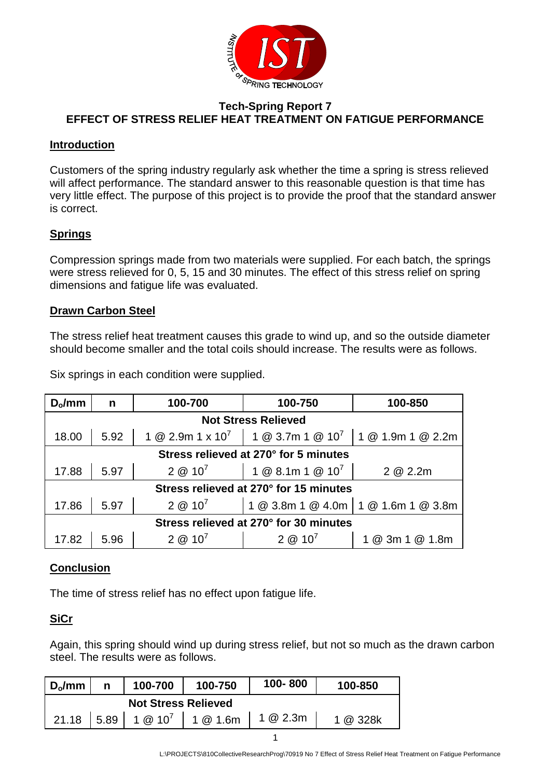

#### **Tech-Spring Report 7 EFFECT OF STRESS RELIEF HEAT TREATMENT ON FATIGUE PERFORMANCE**

#### **Introduction**

Customers of the spring industry regularly ask whether the time a spring is stress relieved will affect performance. The standard answer to this reasonable question is that time has very little effect. The purpose of this project is to provide the proof that the standard answer is correct.

## **Springs**

Compression springs made from two materials were supplied. For each batch, the springs were stress relieved for 0, 5, 15 and 30 minutes. The effect of this stress relief on spring dimensions and fatigue life was evaluated.

## **Drawn Carbon Steel**

The stress relief heat treatment causes this grade to wind up, and so the outside diameter should become smaller and the total coils should increase. The results were as follows.

| $D_0/mm$                               | n    | 100-700          | 100-750                                                                         | 100-850          |  |  |  |  |  |
|----------------------------------------|------|------------------|---------------------------------------------------------------------------------|------------------|--|--|--|--|--|
| <b>Not Stress Relieved</b>             |      |                  |                                                                                 |                  |  |  |  |  |  |
| 18.00                                  | 5.92 |                  | 1 @ 2.9m 1 x 10 <sup>7</sup>   1 @ 3.7m 1 @ 10 <sup>7</sup>   1 @ 1.9m 1 @ 2.2m |                  |  |  |  |  |  |
| Stress relieved at 270° for 5 minutes  |      |                  |                                                                                 |                  |  |  |  |  |  |
| 17.88                                  | 5.97 | $2 \otimes 10^7$ | 1 @ 8.1m 1 @ $10^7$                                                             | 2 @ 2.2m         |  |  |  |  |  |
| Stress relieved at 270° for 15 minutes |      |                  |                                                                                 |                  |  |  |  |  |  |
| 17.86                                  | 5.97 | $2 \& 10^7$      | 1 @ 3.8m 1 @ 4.0m 1 @ 1.6m 1 @ 3.8m                                             |                  |  |  |  |  |  |
| Stress relieved at 270° for 30 minutes |      |                  |                                                                                 |                  |  |  |  |  |  |
| 17.82                                  | 5.96 | $2 @ 10^7$       | $2 \omega 10^7$                                                                 | @ 1.8m<br>@ 3m 1 |  |  |  |  |  |

Six springs in each condition were supplied.

## **Conclusion**

The time of stress relief has no effect upon fatigue life.

## **SiCr**

Again, this spring should wind up during stress relief, but not so much as the drawn carbon steel. The results were as follows.

| $D_0/mm$                   |  | 100-700 | 100-750             | 100-800  | 100-850 |  |  |  |
|----------------------------|--|---------|---------------------|----------|---------|--|--|--|
| <b>Not Stress Relieved</b> |  |         |                     |          |         |  |  |  |
| $21.18$ 5.89               |  |         | $1@10^7$   1 @ 1.6m | 1 @ 2.3m | @ 328k  |  |  |  |